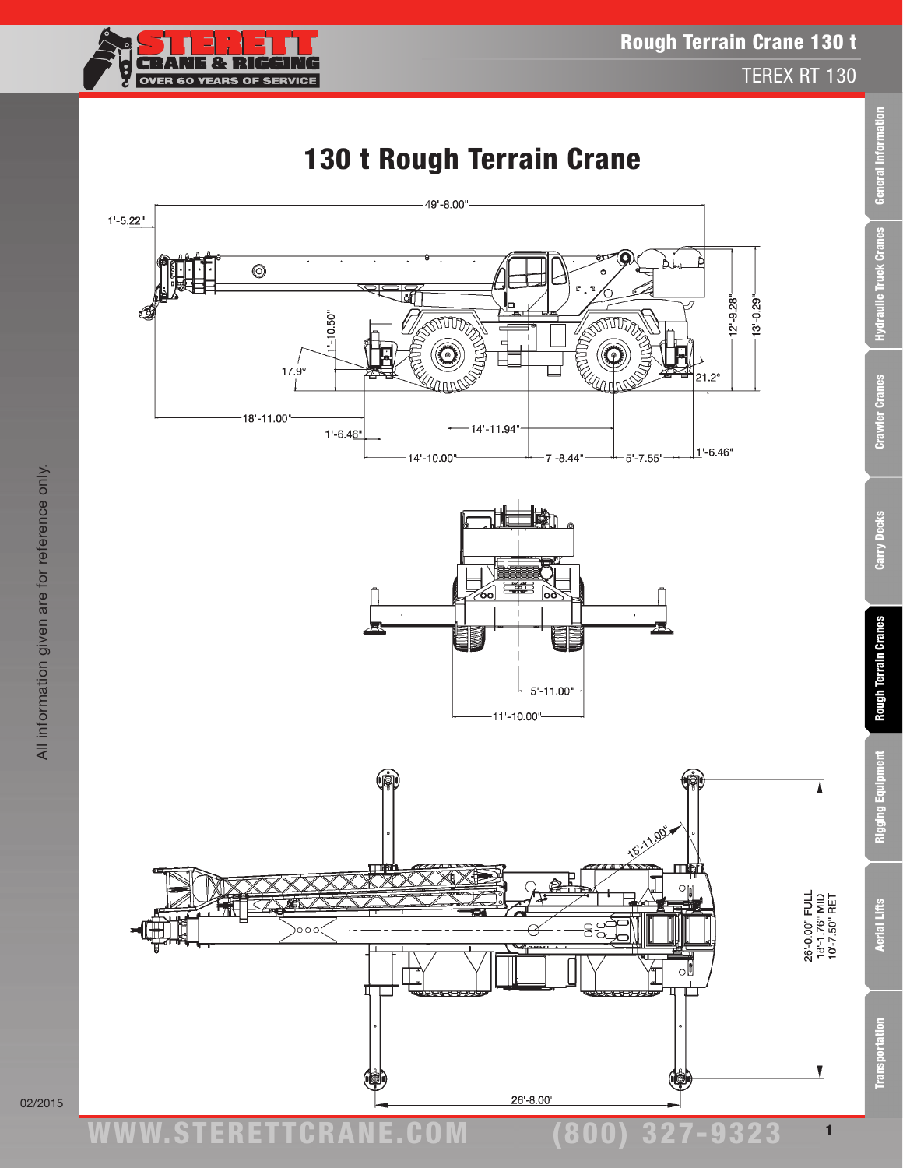

Transportation Aerial Lifts Rigging Equipment Rough Terrain Cranes Carry Decks Crawler Cranes Hydraulic Truck Cranes General Information

**Rough Terrain Cranes** 

Rigging Equipment

**Aerial Lifts** 

**Transportation** 

Carry Decks

General Information

**Hydraulic Truck Cranes** 

**Crawler Cranes** 

# 130 t Rough Terrain Crane

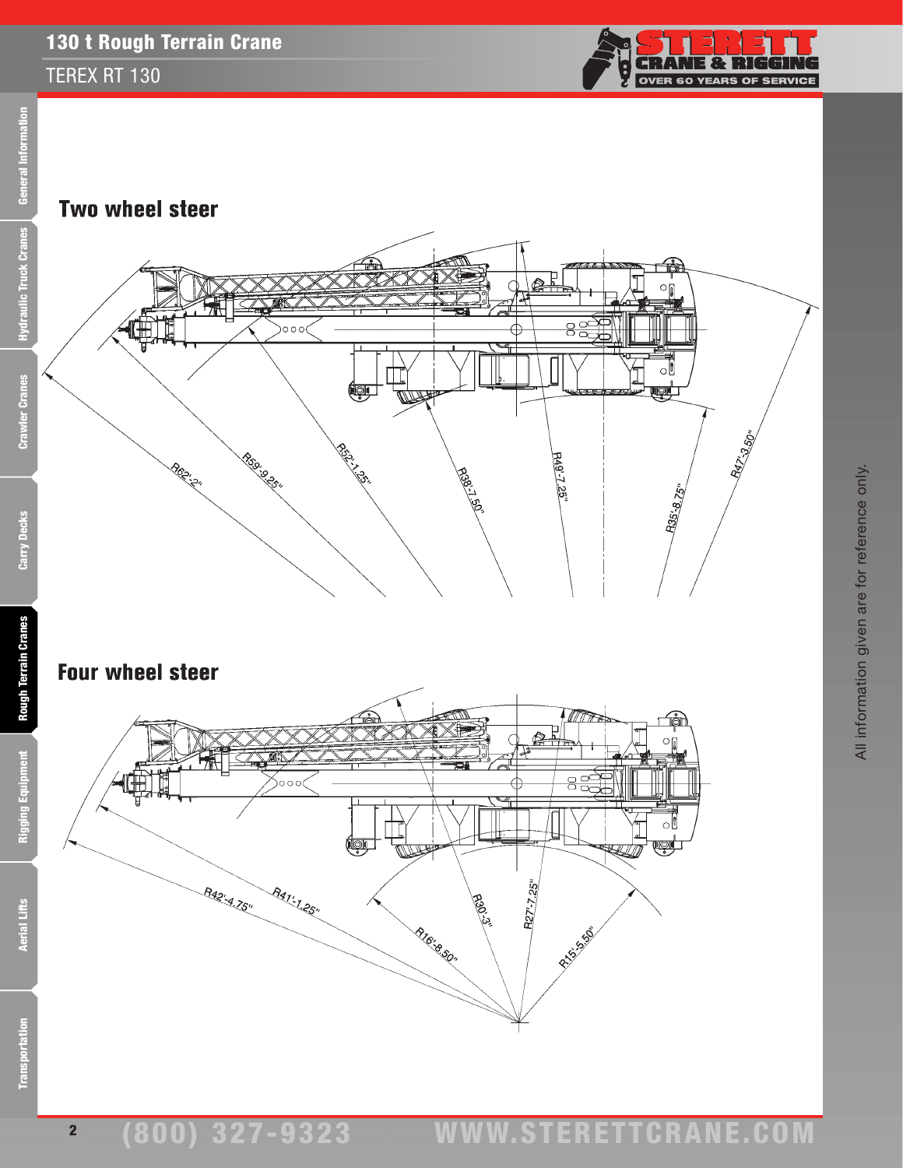#### TEREX RT 130



All information given are for reference only.

All information given are for reference only.





### **Four wheel steer**



2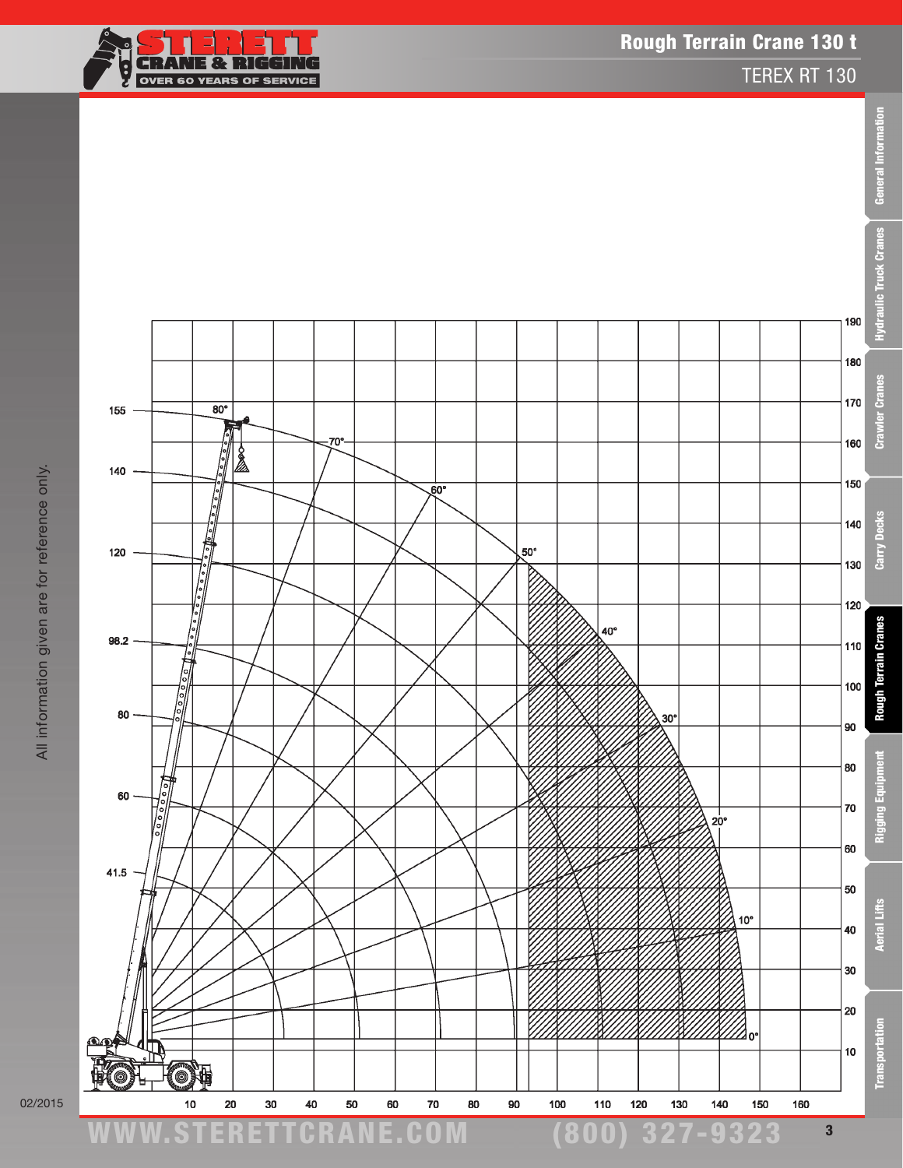

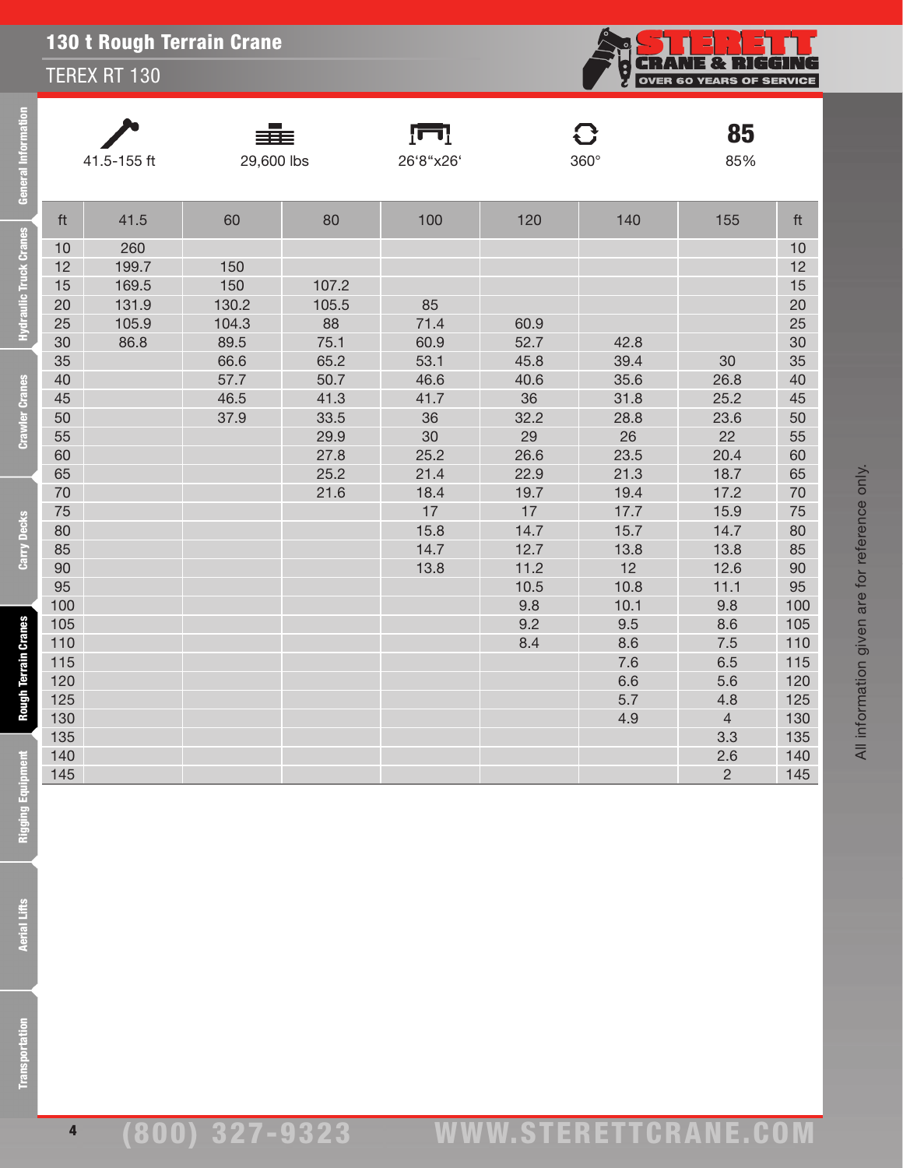TEREX RT 130

| General Information           | 41.5-155 ft |       | 29,600 lbs |       | ſП<br>26'8"x26' |            | <b>C</b><br>$360^\circ$ | 85<br>85%      |            |  |
|-------------------------------|-------------|-------|------------|-------|-----------------|------------|-------------------------|----------------|------------|--|
|                               | ft          | 41.5  | 60         | 80    | 100             | 120        | 140                     | 155            | ft         |  |
| <b>Hydraulic Truck Cranes</b> | 10          | 260   |            |       |                 |            |                         |                | 10         |  |
|                               | 12          | 199.7 | 150        |       |                 |            |                         |                | 12         |  |
|                               | 15          | 169.5 | 150        | 107.2 |                 |            |                         |                | 15         |  |
|                               | 20          | 131.9 | 130.2      | 105.5 | 85              |            |                         |                | 20         |  |
|                               | 25          | 105.9 | 104.3      | 88    | 71.4            | 60.9       |                         |                | 25         |  |
|                               | 30          | 86.8  | 89.5       | 75.1  | 60.9            | 52.7       | 42.8                    |                | 30         |  |
|                               | 35          |       | 66.6       | 65.2  | 53.1            | 45.8       | 39.4                    | 30             | 35         |  |
|                               | 40          |       | 57.7       | 50.7  | 46.6            | 40.6       | 35.6                    | 26.8           | 40         |  |
| <b>Crawler Cranes</b>         | 45          |       | 46.5       | 41.3  | 41.7            | 36         | 31.8                    | 25.2           | 45         |  |
|                               | 50          |       | 37.9       | 33.5  | 36              | 32.2       | 28.8                    | 23.6           | 50         |  |
|                               | 55          |       |            | 29.9  | 30              | 29         | 26                      | 22             | 55         |  |
|                               | 60          |       |            | 27.8  | 25.2            | 26.6       | 23.5                    | 20.4           | 60         |  |
|                               | 65          |       |            | 25.2  | 21.4            | 22.9       | 21.3                    | 18.7           | 65         |  |
|                               | 70          |       |            | 21.6  | 18.4            | 19.7       | 19.4                    | 17.2           | 70         |  |
|                               | 75          |       |            |       | 17              | 17         | 17.7                    | 15.9           | 75         |  |
| Carry Decks                   | 80          |       |            |       | 15.8            | 14.7       | 15.7                    | 14.7           | 80         |  |
|                               | 85          |       |            |       | 14.7            | 12.7       | 13.8                    | 13.8           | 85         |  |
|                               | 90          |       |            |       | 13.8            | 11.2       | 12                      | 12.6           | 90         |  |
|                               | 95          |       |            |       |                 | 10.5       | 10.8                    | 11.1           | 95         |  |
|                               | 100         |       |            |       |                 | 9.8<br>9.2 | 10.1<br>9.5             | 9.8<br>8.6     | 100<br>105 |  |
|                               | 105<br>110  |       |            |       |                 | 8.4        | 8.6                     | 7.5            | 110        |  |
| <b>Rough Terrain Cranes</b>   | 115         |       |            |       |                 |            | 7.6                     | 6.5            | 115        |  |
|                               | 120         |       |            |       |                 |            | 6.6                     | 5.6            | 120        |  |
|                               | 125         |       |            |       |                 |            | 5.7                     | 4.8            | 125        |  |
|                               | 130         |       |            |       |                 |            | 4.9                     | $\overline{4}$ | 130        |  |
|                               | 135         |       |            |       |                 |            |                         | 3.3            | 135        |  |
|                               | 140         |       |            |       |                 |            |                         | 2.6            | 140        |  |
|                               | 145         |       |            |       |                 |            |                         | $\overline{2}$ | 145        |  |
| <b>Rigging Equipment</b>      |             |       |            |       |                 |            |                         |                |            |  |
| <b>Aerial Lifts</b>           |             |       |            |       |                 |            |                         |                |            |  |
| <b>Transportation</b>         |             |       |            |       |                 |            |                         |                |            |  |

**CRANE & RIGGING** 

Ę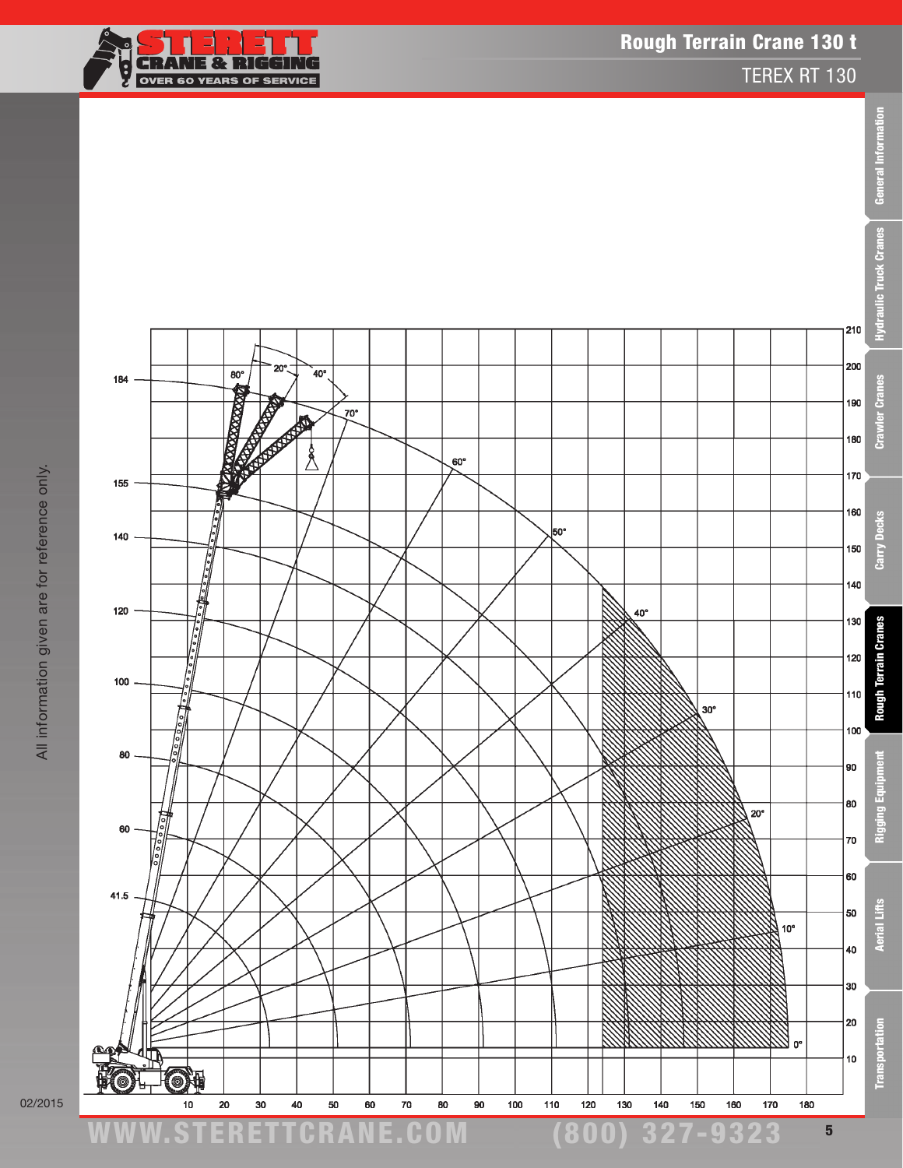



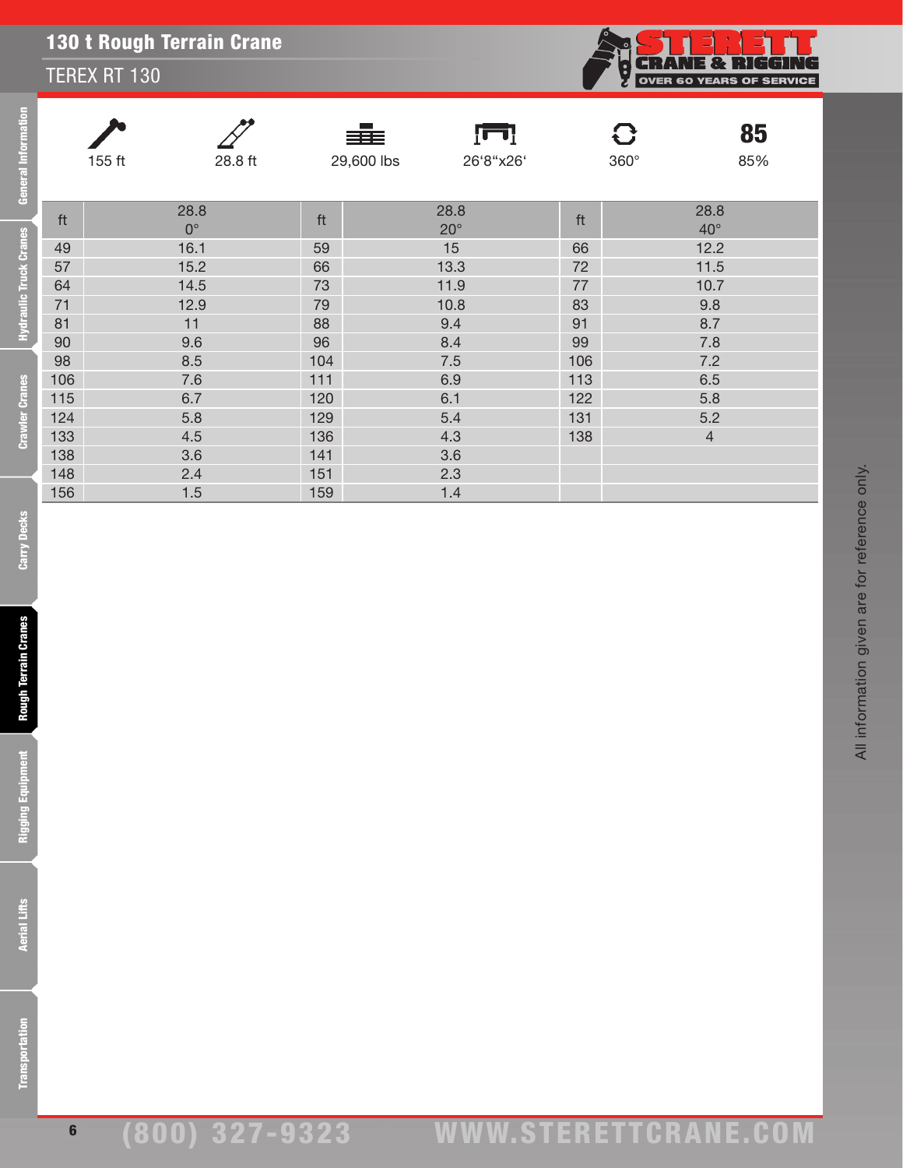#### TEREX RT 130

| General Information    |            |                     | ≡≣                         | ŢП                   |          | C                    | 85  |
|------------------------|------------|---------------------|----------------------------|----------------------|----------|----------------------|-----|
|                        | $155$ ft   | $28.8\,\mathrm{ft}$ | 29,600 lbs                 | 26'8"x26'            |          | $360^\circ$          | 85% |
|                        | ft         | 28.8<br>$0^{\circ}$ | $\ensuremath{\mathsf{ft}}$ | 28.8<br>$20^{\circ}$ | ft       | 28.8<br>$40^{\circ}$ |     |
| Hydraulic Truck Cranes | 49<br>57   | 16.1<br>15.2        | 59<br>66                   | 15                   | 66<br>72 | 12.2<br>11.5         |     |
|                        | 64         | 14.5                | 73                         | 13.3<br>11.9         | $77\,$   | 10.7                 |     |
|                        | 71         | 12.9                | 79                         | 10.8                 | 83       | 9.8                  |     |
|                        | 81         | 11                  | 88                         | 9.4                  | 91       | 8.7                  |     |
|                        | 90         | 9.6                 | 96                         | 8.4                  | 99       | $7.8\,$              |     |
|                        | 98         | 8.5                 | 104                        | $7.5\,$              | 106      | $7.2\,$              |     |
|                        | 106        | $7.6\,$             | $111$                      | 6.9                  | 113      | 6.5                  |     |
|                        | 115        | $6.7\,$             | 120                        | 6.1                  | 122      | 5.8                  |     |
| <b>Crawler Cranes</b>  | 124        | 5.8                 | 129                        | $5.4$                | 131      | $5.2\,$              |     |
|                        | 133        | 4.5                 | 136                        | 4.3                  | 138      | $\overline{4}$       |     |
|                        | 138        | $3.6\,$             | 141                        | 3.6                  |          |                      |     |
|                        | 148<br>156 | 2.4<br>1.5          | 151<br>159                 | 2.3<br>1.4           |          |                      |     |
| <b>Carry Decks</b>     |            |                     |                            |                      |          |                      |     |
| Rough Terrain Cranes   |            |                     |                            |                      |          |                      |     |
| Rigging Equipment      |            |                     |                            |                      |          |                      |     |
| <b>Aerial Lifts</b>    |            |                     |                            |                      |          |                      |     |
| ransportation          |            |                     |                            |                      |          |                      |     |

**CHANE & RIGGING**<br>OVER 60 YEARS OF SERVICE

Ş

**Aerial Lifts** 

**Carry Decks** 

**Rough Terrain Cranes** 

**Rigging Equipment** 

### (800) 327-9323 www.STERETTCRAnE.Com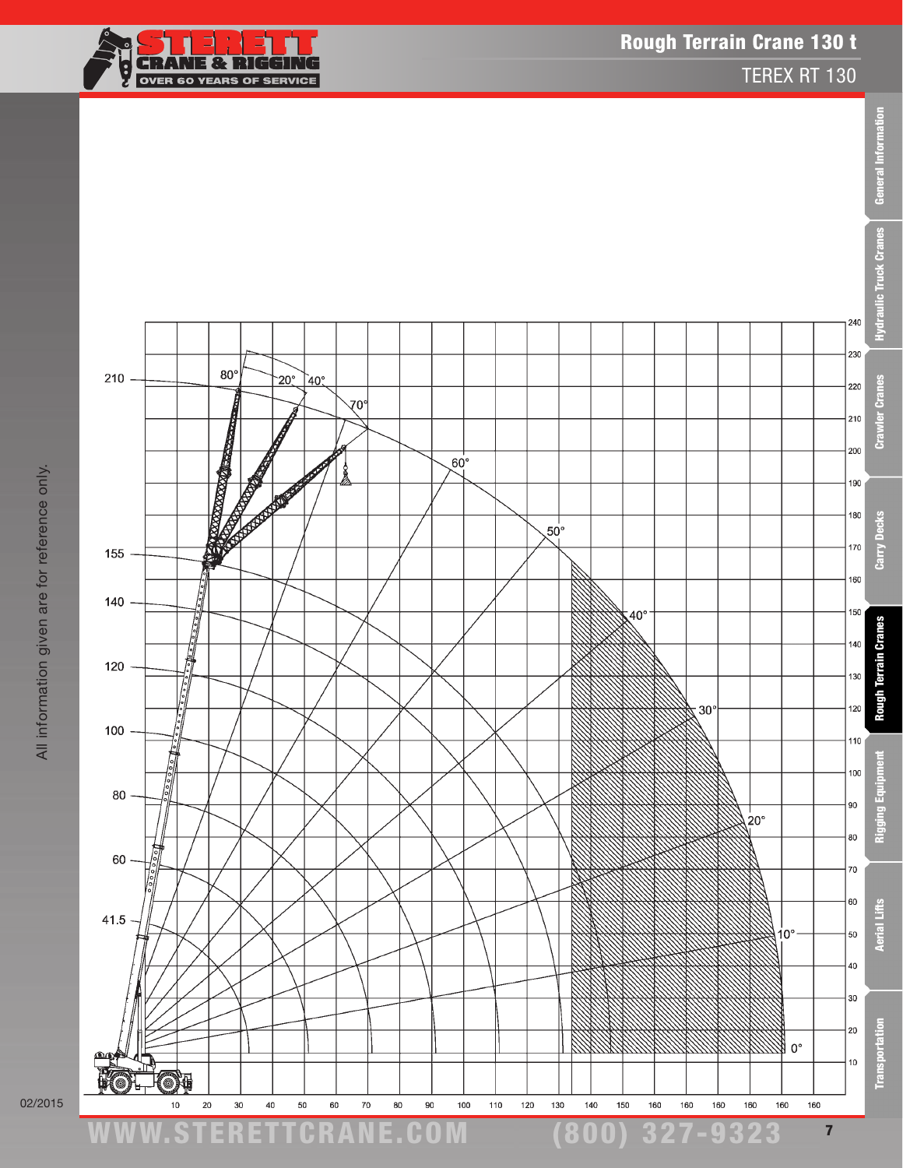



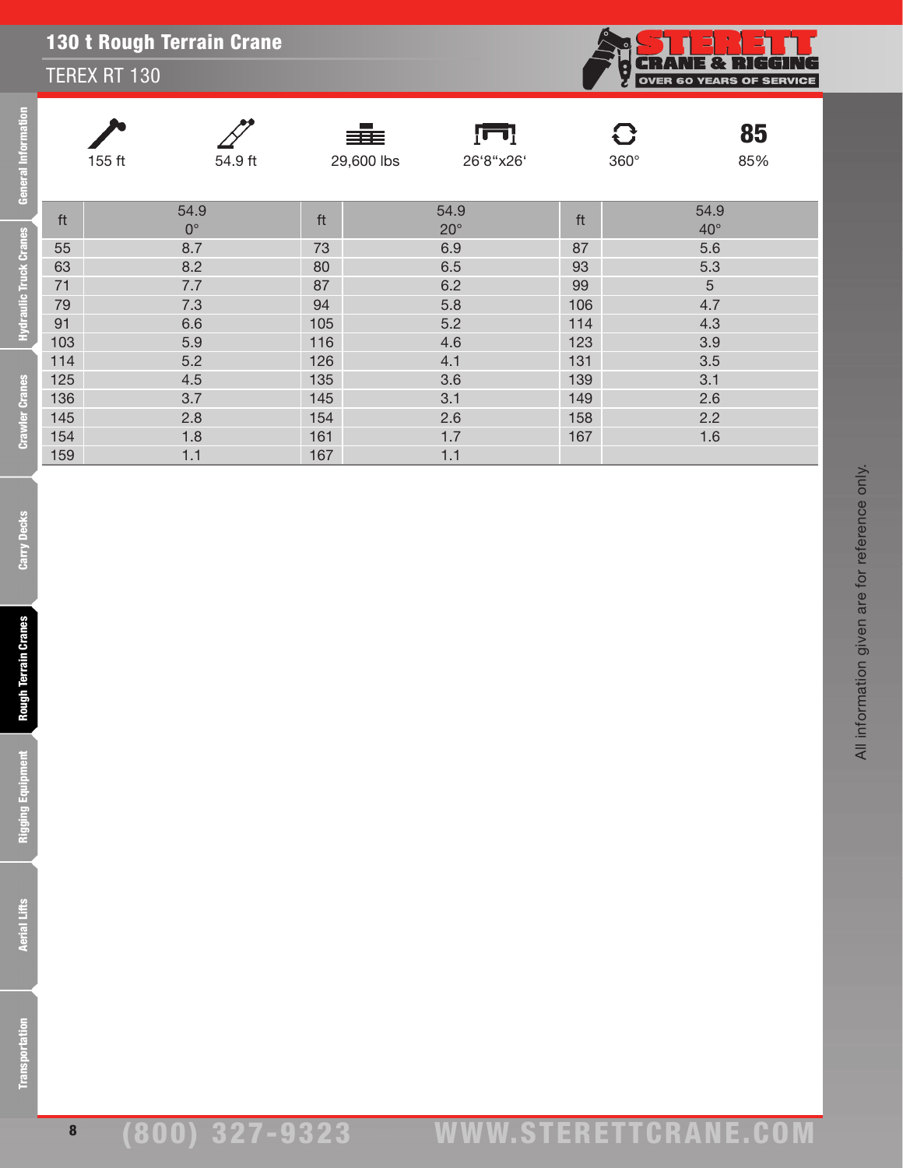#### TEREX RT 130

| General Information                                             | $155$ ft | $54.9\ \mathrm{ft}$        |                         | 辈<br>ĮΠ<br>29,600 lbs<br>26'8"x26' |     | $\mathbf{C}$<br>$360^\circ$ | 85<br>85% |
|-----------------------------------------------------------------|----------|----------------------------|-------------------------|------------------------------------|-----|-----------------------------|-----------|
|                                                                 | ft       | 54.9<br>$\mathbf{0}^\circ$ | $\operatorname{\sf ft}$ | 54.9<br>$20^{\circ}$               | ft  | 54.9<br>$40^{\circ}$        |           |
| Hydraulic Truck Cranes                                          | 55       | 8.7                        | 73                      | 6.9                                | 87  | 5.6                         |           |
|                                                                 | 63       | 8.2                        | 80                      | 6.5                                | 93  | 5.3                         |           |
|                                                                 | 71       | $7.7\,$                    | 87                      | 6.2                                | 99  | $\sqrt{5}$                  |           |
|                                                                 | 79       | $7.3$                      | 94                      | 5.8                                | 106 | 4.7                         |           |
|                                                                 | 91       | 6.6                        | 105                     | 5.2                                | 114 | 4.3                         |           |
|                                                                 | $103$    | $5.9\,$                    | 116                     | 4.6                                | 123 | 3.9                         |           |
|                                                                 | $114$    | 5.2                        | 126                     | 4.1                                | 131 | 3.5                         |           |
|                                                                 | 125      | 4.5                        | 135                     | 3.6                                | 139 | 3.1                         |           |
|                                                                 | 136      | 3.7                        | 145                     | 3.1                                | 149 | 2.6                         |           |
|                                                                 | 145      | 2.8                        | 154                     | 2.6                                | 158 | 2.2                         |           |
| <b>Crawler Cranes</b>                                           | 154      | 1.8                        | 161                     | 1.7                                | 167 | 1.6                         |           |
|                                                                 | 159      | $1.1$                      | 167                     | $1.1$                              |     |                             |           |
| <b>Carry Decks</b><br>Rough Terrain Cranes<br>Rigging Equipment |          |                            |                         |                                    |     |                             |           |
| <b>Aerial Lifts</b>                                             |          |                            |                         |                                    |     |                             |           |
| ransportation                                                   |          |                            |                         |                                    |     |                             |           |

8

All information given are for reference only.

All information given are for reference only.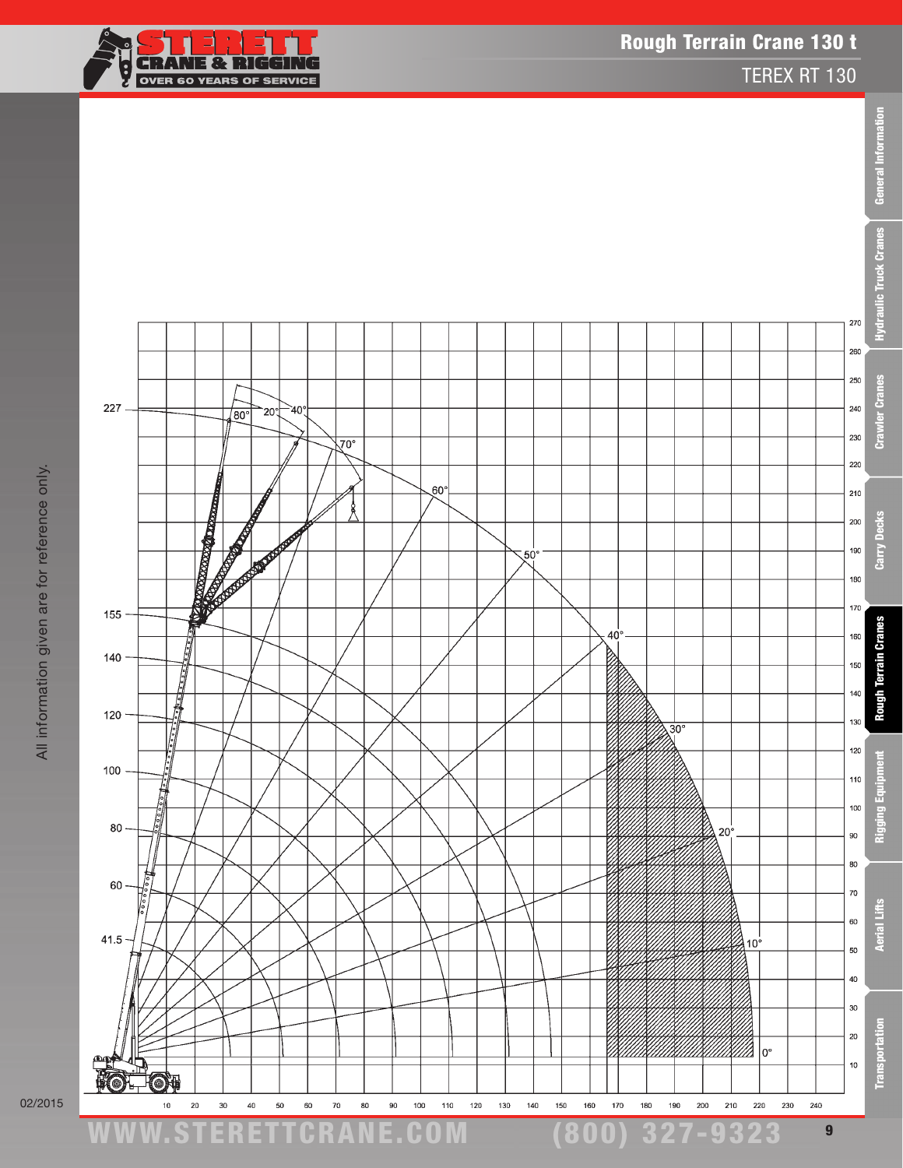